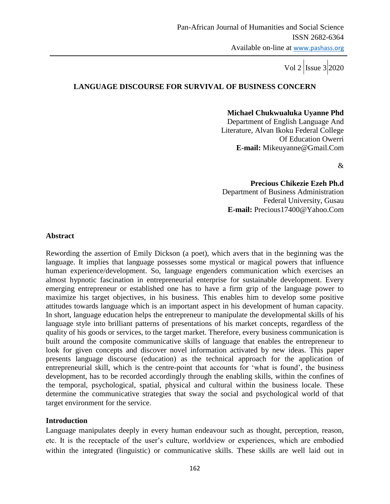## **LANGUAGE DISCOURSE FOR SURVIVAL OF BUSINESS CONCERN**

 **Michael Chukwualuka Uyanne Phd**

Department of English Language And Literature, Alvan Ikoku Federal College Of Education Owerri **E-mail:** Mikeuyanne@Gmail.Com

&

 **Precious Chikezie Ezeh Ph.d** Department of Business Administration Federal University, Gusau **E-mail:** Precious17400@Yahoo.Com

#### **Abstract**

Rewording the assertion of Emily Dickson (a poet), which avers that in the beginning was the language. It implies that language possesses some mystical or magical powers that influence human experience/development. So, language engenders communication which exercises an almost hypnotic fascination in entrepreneurial enterprise for sustainable development. Every emerging entrepreneur or established one has to have a firm grip of the language power to maximize his target objectives, in his business. This enables him to develop some positive attitudes towards language which is an important aspect in his development of human capacity. In short, language education helps the entrepreneur to manipulate the developmental skills of his language style into brilliant patterns of presentations of his market concepts, regardless of the quality of his goods or services, to the target market. Therefore, every business communication is built around the composite communicative skills of language that enables the entrepreneur to look for given concepts and discover novel information activated by new ideas. This paper presents language discourse (education) as the technical approach for the application of entrepreneurial skill, which is the centre-point that accounts for "what is found", the business development, has to be recorded accordingly through the enabling skills, within the confines of the temporal, psychological, spatial, physical and cultural within the business locale. These determine the communicative strategies that sway the social and psychological world of that target environment for the service.

### **Introduction**

Language manipulates deeply in every human endeavour such as thought, perception, reason, etc. It is the receptacle of the user"s culture, worldview or experiences, which are embodied within the integrated (linguistic) or communicative skills. These skills are well laid out in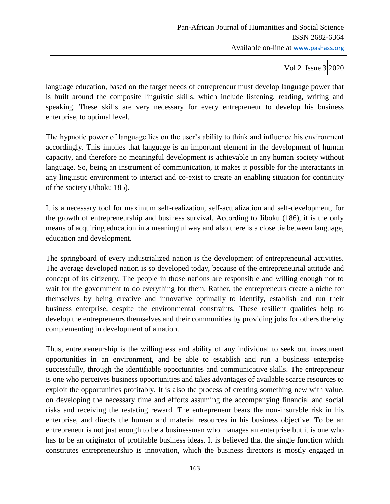language education, based on the target needs of entrepreneur must develop language power that is built around the composite linguistic skills, which include listening, reading, writing and speaking. These skills are very necessary for every entrepreneur to develop his business enterprise, to optimal level.

The hypnotic power of language lies on the user"s ability to think and influence his environment accordingly. This implies that language is an important element in the development of human capacity, and therefore no meaningful development is achievable in any human society without language. So, being an instrument of communication, it makes it possible for the interactants in any linguistic environment to interact and co-exist to create an enabling situation for continuity of the society (Jiboku 185).

It is a necessary tool for maximum self-realization, self-actualization and self-development, for the growth of entrepreneurship and business survival. According to Jiboku (186), it is the only means of acquiring education in a meaningful way and also there is a close tie between language, education and development.

The springboard of every industrialized nation is the development of entrepreneurial activities. The average developed nation is so developed today, because of the entrepreneurial attitude and concept of its citizenry. The people in those nations are responsible and willing enough not to wait for the government to do everything for them. Rather, the entrepreneurs create a niche for themselves by being creative and innovative optimally to identify, establish and run their business enterprise, despite the environmental constraints. These resilient qualities help to develop the entrepreneurs themselves and their communities by providing jobs for others thereby complementing in development of a nation.

Thus, entrepreneurship is the willingness and ability of any individual to seek out investment opportunities in an environment, and be able to establish and run a business enterprise successfully, through the identifiable opportunities and communicative skills. The entrepreneur is one who perceives business opportunities and takes advantages of available scarce resources to exploit the opportunities profitably. It is also the process of creating something new with value, on developing the necessary time and efforts assuming the accompanying financial and social risks and receiving the restating reward. The entrepreneur bears the non-insurable risk in his enterprise, and directs the human and material resources in his business objective. To be an entrepreneur is not just enough to be a businessman who manages an enterprise but it is one who has to be an originator of profitable business ideas. It is believed that the single function which constitutes entrepreneurship is innovation, which the business directors is mostly engaged in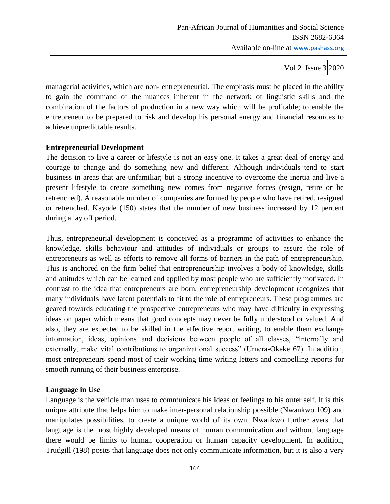managerial activities, which are non- entrepreneurial. The emphasis must be placed in the ability to gain the command of the nuances inherent in the network of linguistic skills and the combination of the factors of production in a new way which will be profitable; to enable the entrepreneur to be prepared to risk and develop his personal energy and financial resources to achieve unpredictable results.

## **Entrepreneurial Development**

The decision to live a career or lifestyle is not an easy one. It takes a great deal of energy and courage to change and do something new and different. Although individuals tend to start business in areas that are unfamiliar; but a strong incentive to overcome the inertia and live a present lifestyle to create something new comes from negative forces (resign, retire or be retrenched). A reasonable number of companies are formed by people who have retired, resigned or retrenched. Kayode (150) states that the number of new business increased by 12 percent during a lay off period.

Thus, entrepreneurial development is conceived as a programme of activities to enhance the knowledge, skills behaviour and attitudes of individuals or groups to assure the role of entrepreneurs as well as efforts to remove all forms of barriers in the path of entrepreneurship. This is anchored on the firm belief that entrepreneurship involves a body of knowledge, skills and attitudes which can be learned and applied by most people who are sufficiently motivated. In contrast to the idea that entrepreneurs are born, entrepreneurship development recognizes that many individuals have latent potentials to fit to the role of entrepreneurs. These programmes are geared towards educating the prospective entrepreneurs who may have difficulty in expressing ideas on paper which means that good concepts may never be fully understood or valued. And also, they are expected to be skilled in the effective report writing, to enable them exchange information, ideas, opinions and decisions between people of all classes, "internally and externally, make vital contributions to organizational success" (Umera-Okeke 67). In addition, most entrepreneurs spend most of their working time writing letters and compelling reports for smooth running of their business enterprise.

### **Language in Use**

Language is the vehicle man uses to communicate his ideas or feelings to his outer self. It is this unique attribute that helps him to make inter-personal relationship possible (Nwankwo 109) and manipulates possibilities, to create a unique world of its own. Nwankwo further avers that language is the most highly developed means of human communication and without language there would be limits to human cooperation or human capacity development. In addition, Trudgill (198) posits that language does not only communicate information, but it is also a very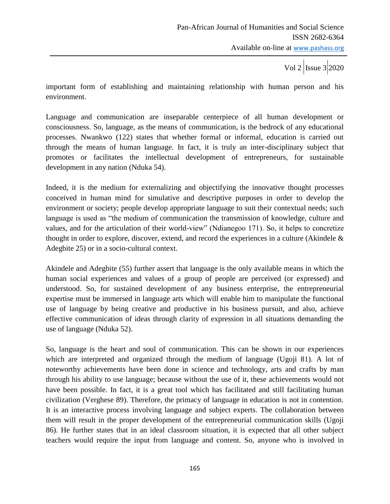important form of establishing and maintaining relationship with human person and his environment.

Language and communication are inseparable centerpiece of all human development or consciousness. So, language, as the means of communication, is the bedrock of any educational processes. Nwankwo (122) states that whether formal or informal, education is carried out through the means of human language. In fact, it is truly an inter-disciplinary subject that promotes or facilitates the intellectual development of entrepreneurs, for sustainable development in any nation (Nduka 54).

Indeed, it is the medium for externalizing and objectifying the innovative thought processes conceived in human mind for simulative and descriptive purposes in order to develop the environment or society; people develop appropriate language to suit their contextual needs; such language is used as "the medium of communication the transmission of knowledge, culture and values, and for the articulation of their world-view" (Ndianegoo 171). So, it helps to concretize thought in order to explore, discover, extend, and record the experiences in a culture (Akindele & Adegbite 25) or in a socio-cultural context.

Akindele and Adegbite (55) further assert that language is the only available means in which the human social experiences and values of a group of people are perceived (or expressed) and understood. So, for sustained development of any business enterprise, the entrepreneurial expertise must be immersed in language arts which will enable him to manipulate the functional use of language by being creative and productive in his business pursuit, and also, achieve effective communication of ideas through clarity of expression in all situations demanding the use of language (Nduka 52).

So, language is the heart and soul of communication. This can be shown in our experiences which are interpreted and organized through the medium of language (Ugoji 81). A lot of noteworthy achievements have been done in science and technology, arts and crafts by man through his ability to use language; because without the use of it, these achievements would not have been possible. In fact, it is a great tool which has facilitated and still facilitating human civilization (Verghese 89). Therefore, the primacy of language in education is not in contention. It is an interactive process involving language and subject experts. The collaboration between them will result in the proper development of the entrepreneurial communication skills (Ugoji 86). He further states that in an ideal classroom situation, it is expected that all other subject teachers would require the input from language and content. So, anyone who is involved in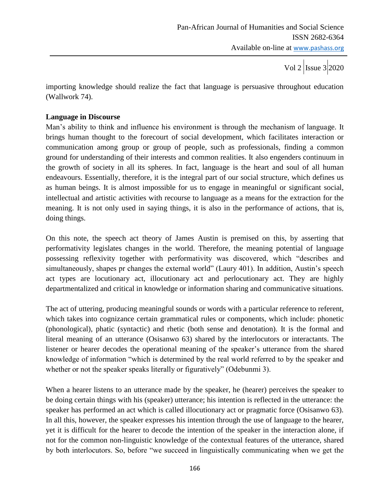importing knowledge should realize the fact that language is persuasive throughout education (Wallwork 74).

# **Language in Discourse**

Man"s ability to think and influence his environment is through the mechanism of language. It brings human thought to the forecourt of social development, which facilitates interaction or communication among group or group of people, such as professionals, finding a common ground for understanding of their interests and common realities. It also engenders continuum in the growth of society in all its spheres. In fact, language is the heart and soul of all human endeavours. Essentially, therefore, it is the integral part of our social structure, which defines us as human beings. It is almost impossible for us to engage in meaningful or significant social, intellectual and artistic activities with recourse to language as a means for the extraction for the meaning. It is not only used in saying things, it is also in the performance of actions, that is, doing things.

On this note, the speech act theory of James Austin is premised on this, by asserting that performativity legislates changes in the world. Therefore, the meaning potential of language possessing reflexivity together with performativity was discovered, which "describes and simultaneously, shapes pr changes the external world" (Laury 401). In addition, Austin's speech act types are locutionary act, illocutionary act and perlocutionary act. They are highly departmentalized and critical in knowledge or information sharing and communicative situations.

The act of uttering, producing meaningful sounds or words with a particular reference to referent, which takes into cognizance certain grammatical rules or components, which include: phonetic (phonological), phatic (syntactic) and rhetic (both sense and denotation). It is the formal and literal meaning of an utterance (Osisanwo 63) shared by the interlocutors or interactants. The listener or hearer decodes the operational meaning of the speaker's utterance from the shared knowledge of information "which is determined by the real world referred to by the speaker and whether or not the speaker speaks literally or figuratively" (Odebunmi 3).

When a hearer listens to an utterance made by the speaker, he (hearer) perceives the speaker to be doing certain things with his (speaker) utterance; his intention is reflected in the utterance: the speaker has performed an act which is called illocutionary act or pragmatic force (Osisanwo 63). In all this, however, the speaker expresses his intention through the use of language to the hearer, yet it is difficult for the hearer to decode the intention of the speaker in the interaction alone, if not for the common non-linguistic knowledge of the contextual features of the utterance, shared by both interlocutors. So, before "we succeed in linguistically communicating when we get the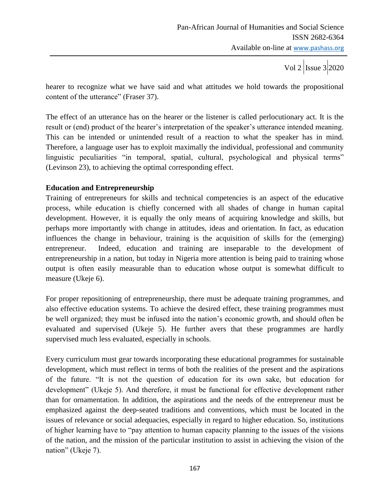hearer to recognize what we have said and what attitudes we hold towards the propositional content of the utterance" (Fraser 37).

The effect of an utterance has on the hearer or the listener is called perlocutionary act. It is the result or (end) product of the hearer"s interpretation of the speaker"s utterance intended meaning. This can be intended or unintended result of a reaction to what the speaker has in mind. Therefore, a language user has to exploit maximally the individual, professional and community linguistic peculiarities "in temporal, spatial, cultural, psychological and physical terms" (Levinson 23), to achieving the optimal corresponding effect.

## **Education and Entrepreneurship**

Training of entrepreneurs for skills and technical competencies is an aspect of the educative process, while education is chiefly concerned with all shades of change in human capital development. However, it is equally the only means of acquiring knowledge and skills, but perhaps more importantly with change in attitudes, ideas and orientation. In fact, as education influences the change in behaviour, training is the acquisition of skills for the (emerging) entrepreneur. Indeed, education and training are inseparable to the development of entrepreneurship in a nation, but today in Nigeria more attention is being paid to training whose output is often easily measurable than to education whose output is somewhat difficult to measure (Ukeje 6).

For proper repositioning of entrepreneurship, there must be adequate training programmes, and also effective education systems. To achieve the desired effect, these training programmes must be well organized; they must be infused into the nation's economic growth, and should often be evaluated and supervised (Ukeje 5). He further avers that these programmes are hardly supervised much less evaluated, especially in schools.

Every curriculum must gear towards incorporating these educational programmes for sustainable development, which must reflect in terms of both the realities of the present and the aspirations of the future. "It is not the question of education for its own sake, but education for development" (Ukeje 5). And therefore, it must be functional for effective development rather than for ornamentation. In addition, the aspirations and the needs of the entrepreneur must be emphasized against the deep-seated traditions and conventions, which must be located in the issues of relevance or social adequacies, especially in regard to higher education. So, institutions of higher learning have to "pay attention to human capacity planning to the issues of the visions of the nation, and the mission of the particular institution to assist in achieving the vision of the nation" (Ukeje 7).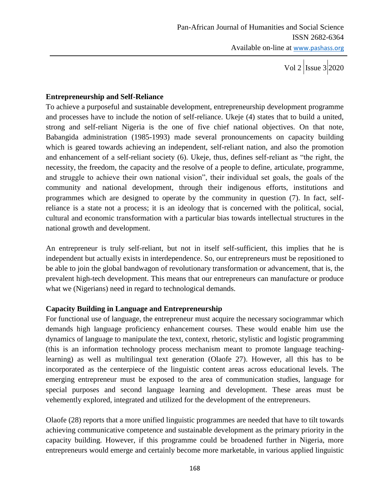Vol 2  $\vert$ Issue 3  $\vert$ 2020

## **Entrepreneurship and Self-Reliance**

To achieve a purposeful and sustainable development, entrepreneurship development programme and processes have to include the notion of self-reliance. Ukeje (4) states that to build a united, strong and self-reliant Nigeria is the one of five chief national objectives. On that note, Babangida administration (1985-1993) made several pronouncements on capacity building which is geared towards achieving an independent, self-reliant nation, and also the promotion and enhancement of a self-reliant society (6). Ukeje, thus, defines self-reliant as "the right, the necessity, the freedom, the capacity and the resolve of a people to define, articulate, programme, and struggle to achieve their own national vision", their individual set goals, the goals of the community and national development, through their indigenous efforts, institutions and programmes which are designed to operate by the community in question (7). In fact, selfreliance is a state not a process; it is an ideology that is concerned with the political, social, cultural and economic transformation with a particular bias towards intellectual structures in the national growth and development.

An entrepreneur is truly self-reliant, but not in itself self-sufficient, this implies that he is independent but actually exists in interdependence. So, our entrepreneurs must be repositioned to be able to join the global bandwagon of revolutionary transformation or advancement, that is, the prevalent high-tech development. This means that our entrepreneurs can manufacture or produce what we (Nigerians) need in regard to technological demands.

## **Capacity Building in Language and Entrepreneurship**

For functional use of language, the entrepreneur must acquire the necessary sociogrammar which demands high language proficiency enhancement courses. These would enable him use the dynamics of language to manipulate the text, context, rhetoric, stylistic and logistic programming (this is an information technology process mechanism meant to promote language teachinglearning) as well as multilingual text generation (Olaofe 27). However, all this has to be incorporated as the centerpiece of the linguistic content areas across educational levels. The emerging entrepreneur must be exposed to the area of communication studies, language for special purposes and second language learning and development. These areas must be vehemently explored, integrated and utilized for the development of the entrepreneurs.

Olaofe (28) reports that a more unified linguistic programmes are needed that have to tilt towards achieving communicative competence and sustainable development as the primary priority in the capacity building. However, if this programme could be broadened further in Nigeria, more entrepreneurs would emerge and certainly become more marketable, in various applied linguistic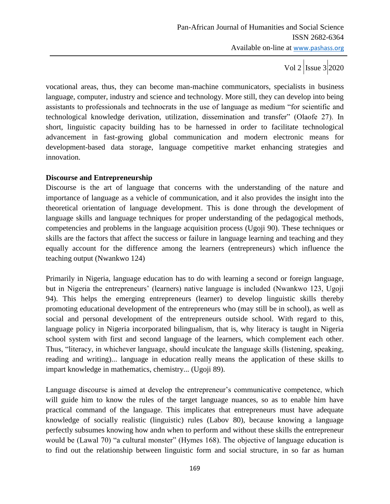Vol 2  $\vert$  Issue 3 2020

vocational areas, thus, they can become man-machine communicators, specialists in business language, computer, industry and science and technology. More still, they can develop into being assistants to professionals and technocrats in the use of language as medium "for scientific and technological knowledge derivation, utilization, dissemination and transfer" (Olaofe 27). In short, linguistic capacity building has to be harnessed in order to facilitate technological advancement in fast-growing global communication and modern electronic means for development-based data storage, language competitive market enhancing strategies and innovation.

## **Discourse and Entrepreneurship**

Discourse is the art of language that concerns with the understanding of the nature and importance of language as a vehicle of communication, and it also provides the insight into the theoretical orientation of language development. This is done through the development of language skills and language techniques for proper understanding of the pedagogical methods, competencies and problems in the language acquisition process (Ugoji 90). These techniques or skills are the factors that affect the success or failure in language learning and teaching and they equally account for the difference among the learners (entrepreneurs) which influence the teaching output (Nwankwo 124)

Primarily in Nigeria, language education has to do with learning a second or foreign language, but in Nigeria the entrepreneurs' (learners) native language is included (Nwankwo 123, Ugoji 94). This helps the emerging entrepreneurs (learner) to develop linguistic skills thereby promoting educational development of the entrepreneurs who (may still be in school), as well as social and personal development of the entrepreneurs outside school. With regard to this, language policy in Nigeria incorporated bilingualism, that is, why literacy is taught in Nigeria school system with first and second language of the learners, which complement each other. Thus, "literacy, in whichever language, should inculcate the language skills (listening, speaking, reading and writing)... language in education really means the application of these skills to impart knowledge in mathematics, chemistry... (Ugoji 89).

Language discourse is aimed at develop the entrepreneur"s communicative competence, which will guide him to know the rules of the target language nuances, so as to enable him have practical command of the language. This implicates that entrepreneurs must have adequate knowledge of socially realistic (linguistic) rules (Labov 80), because knowing a language perfectly subsumes knowing how andn when to perform and without these skills the entrepreneur would be (Lawal 70) "a cultural monster" (Hymes 168). The objective of language education is to find out the relationship between linguistic form and social structure, in so far as human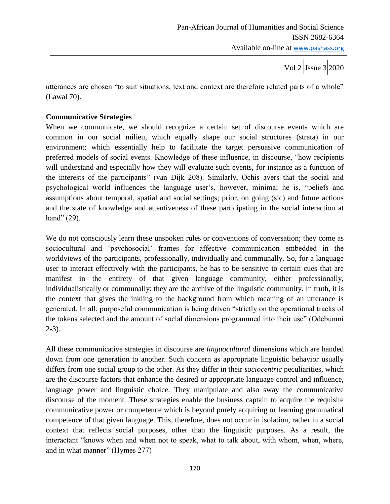utterances are chosen "to suit situations, text and context are therefore related parts of a whole" (Lawal 70).

# **Communicative Strategies**

When we communicate, we should recognize a certain set of discourse events which are common in our social milieu, which equally shape our social structures (strata) in our environment; which essentially help to facilitate the target persuasive communication of preferred models of social events. Knowledge of these influence, in discourse, "how recipients will understand and especially how they will evaluate such events, for instance as a function of the interests of the participants" (van Dijk 208). Similarly, Ochis avers that the social and psychological world influences the language user"s, however, minimal he is, "beliefs and assumptions about temporal, spatial and social settings; prior, on going (sic) and future actions and the state of knowledge and attentiveness of these participating in the social interaction at hand" (29).

We do not consciously learn these unspoken rules or conventions of conversation; they come as sociocultural and "psychosocial" frames for affective communication embedded in the worldviews of the participants, professionally, individually and communally. So, for a language user to interact effectively with the participants, he has to be sensitive to certain cues that are manifest in the entirety of that given language community, either professionally, individualistically or communally: they are the archive of the linguistic community. In truth, it is the context that gives the inkling to the background from which meaning of an utterance is generated. In all, purposeful communication is being driven "strictly on the operational tracks of the tokens selected and the amount of social dimensions programmed into their use" (Odebunmi 2-3).

All these communicative strategies in discourse are *linguocultural* dimensions which are handed down from one generation to another. Such concern as appropriate linguistic behavior usually differs from one social group to the other. As they differ in their *sociocentric* peculiarities, which are the discourse factors that enhance the desired or appropriate language control and influence, language power and linguistic choice. They manipulate and also sway the communicative discourse of the moment. These strategies enable the business captain to acquire the requisite communicative power or competence which is beyond purely acquiring or learning grammatical competence of that given language. This, therefore, does not occur in isolation, rather in a social context that reflects social purposes, other than the linguistic purposes. As a result, the interactant "knows when and when not to speak, what to talk about, with whom, when, where, and in what manner" (Hymes 277)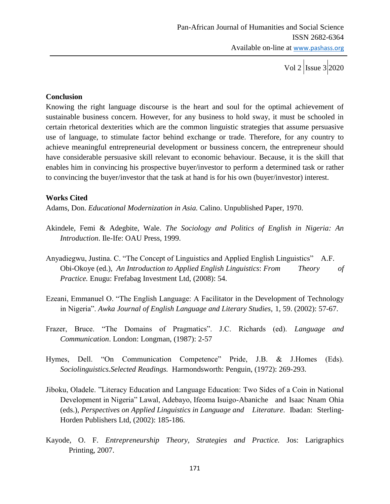#### **Conclusion**

Knowing the right language discourse is the heart and soul for the optimal achievement of sustainable business concern. However, for any business to hold sway, it must be schooled in certain rhetorical dexterities which are the common linguistic strategies that assume persuasive use of language, to stimulate factor behind exchange or trade. Therefore, for any country to achieve meaningful entrepreneurial development or bussiness concern, the entrepreneur should have considerable persuasive skill relevant to economic behaviour. Because, it is the skill that enables him in convincing his prospective buyer/investor to perform a determined task or rather to convincing the buyer/investor that the task at hand is for his own (buyer/investor) interest.

#### **Works Cited**

Adams, Don. *Educational Modernization in Asia.* Calino. Unpublished Paper, 1970.

- Akindele, Femi & Adegbite, Wale. *The Sociology and Politics of English in Nigeria: An Introduction*. Ile-Ife: OAU Press, 1999.
- Anyadiegwu, Justina. C. "The Concept of Linguistics and Applied English Linguistics" A.F. Obi-Okoye (ed.), *An Introduction to Applied English Linguistics*: *From Theory of Practice.* Enugu: Frefabag Investment Ltd, (2008): 54.
- Ezeani, Emmanuel O. "The English Language: A Facilitator in the Development of Technology in Nigeria". *Awka Journal of English Language and Literary Studies*, 1, 59. (2002): 57-67.
- Frazer, Bruce. "The Domains of Pragmatics". J.C. Richards (ed). *Language and Communication*. London: Longman, (1987): 2-57
- Hymes, Dell. "On Communication Competence" Pride, J.B. & J.Homes (Eds). *Sociolinguistics.Selected Readings.* Harmondsworth: Penguin, (1972): 269-293.
- Jiboku, Oladele. "Literacy Education and Language Education: Two Sides of a Coin in National Development in Nigeria" Lawal, Adebayo, Ifeoma Isuigo-Abaniche and Isaac Nnam Ohia (eds.), *Perspectives on Applied Linguistics in Language and Literature*. Ibadan: Sterling-Horden Publishers Ltd, (2002): 185-186.
- Kayode, O. F. *Entrepreneurship Theory, Strategies and Practice.* Jos: Larigraphics Printing, 2007.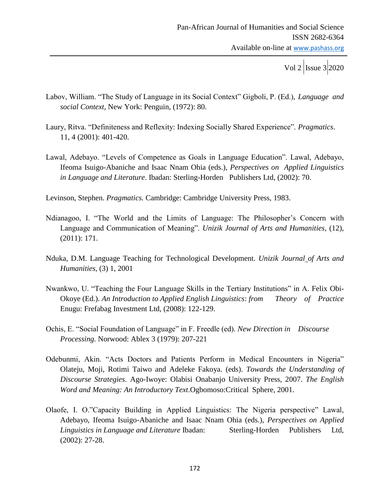- Labov, William. "The Study of Language in its Social Context" Gigboli, P. (Ed.), *Language and social Context*, New York: Penguin, (1972): 80.
- Laury, Ritva. "Definiteness and Reflexity: Indexing Socially Shared Experience". *Pragmatics*. 11, 4 (2001): 401-420.
- Lawal, Adebayo. "Levels of Competence as Goals in Language Education". Lawal, Adebayo, Ifeoma Isuigo-Abaniche and Isaac Nnam Ohia (eds.), *Perspectives on Applied Linguistics in Language and Literature*. Ibadan: Sterling-Horden Publishers Ltd, (2002): 70.

Levinson, Stephen. *Pragmatics.* Cambridge: Cambridge University Press, 1983.

- Ndianagoo, I. "The World and the Limits of Language: The Philosopher's Concern with Language and Communication of Meaning". *Unizik Journal of Arts and Humanities,* (12), (2011): 171.
- Nduka, D.M. Language Teaching for Technological Development. *Unizik Journal of Arts and Humanities,* (3) 1, 2001
- Nwankwo, U. "Teaching the Four Language Skills in the Tertiary Institutions" in A. Felix Obi-Okoye (Ed.). *An Introduction to Applied English Linguistics*: *from Theory of Practice* Enugu: Frefabag Investment Ltd, (2008): 122-129.
- Ochis, E. "Social Foundation of Language" in F. Freedle (ed). *New Direction in Discourse Processing.* Norwood: Ablex 3 (1979): 207-221
- Odebunmi, Akin. "Acts Doctors and Patients Perform in Medical Encounters in Nigeria" Olateju, Moji, Rotimi Taiwo and Adeleke Fakoya. (eds). *Towards the Understanding of Discourse Strategies*. Ago-Iwoye: Olabisi Onabanjo University Press, 2007. *The English Word and Meaning: An Introductory Text*.Ogbomoso:Critical Sphere, 2001.
- Olaofe, I. O."Capacity Building in Applied Linguistics: The Nigeria perspective" Lawal, Adebayo, Ifeoma Isuigo-Abaniche and Isaac Nnam Ohia (eds.), *Perspectives on Applied Linguistics in Language and Literature* Ibadan: Sterling-Horden Publishers Ltd, (2002): 27-28.